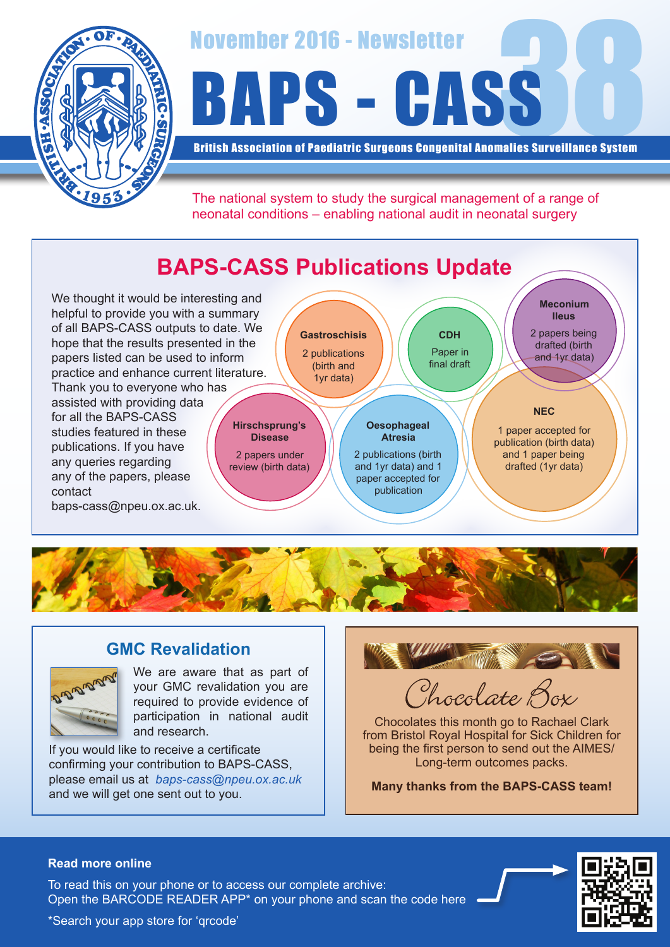

# November 2016 - Newsletter<br>BAPS - CASS

British Association of Paediatric Surgeons Congenital Anomalies Surveillance System

The national system to study the surgical management of a range of neonatal conditions – enabling national audit in neonatal surgery

# **BAPS-CASS Publications Update**

We thought it would be interesting and helpful to provide you with a summary of all BAPS-CASS outputs to date. We hope that the results presented in the papers listed can be used to inform practice and enhance current literature. Thank you to everyone who has assisted with providing data for all the BAPS-CASS studies featured in these publications. If you have any queries regarding any of the papers, please contact

baps-cass@npeu.ox.ac.uk.





## **GMC Revalidation**



We are aware that as part of your GMC revalidation you are required to provide evidence of participation in national audit and research.

If you would like to receive a certificate confirming your contribution to BAPS-CASS, please email us at *baps-cass@npeu.ox.ac.uk* and we will get one sent out to you.



Chocolate Box

Chocolates this month go to Rachael Clark from Bristol Royal Hospital for Sick Children for being the first person to send out the AIMES/ Long-term outcomes packs.

**Many thanks from the BAPS-CASS team!**

#### **Read more online**

Open the BARCODE READER APP\* on your phone and scan the code here To read this on your phone or to access our complete archive: